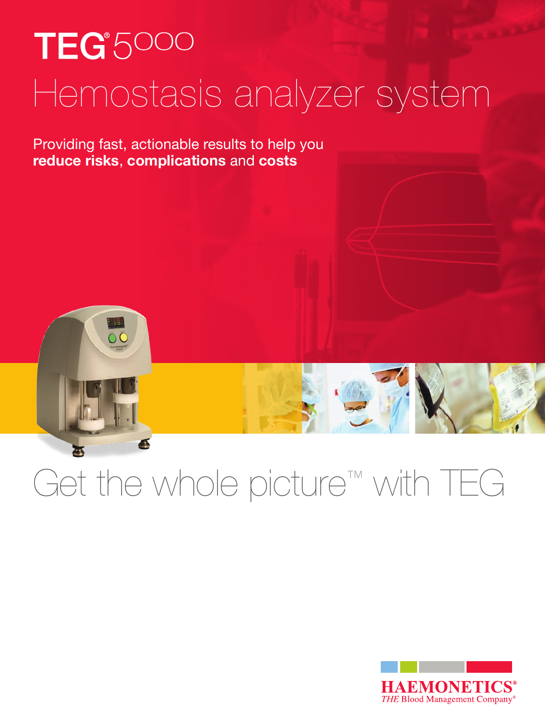# TEG<sup>\*</sup>5000 Hemostasis analyzer system

Providing fast, actionable results to help you **reduce risks**, **complications** and **costs**

ŌŌ

4

## Get the whole picture™ with TEG

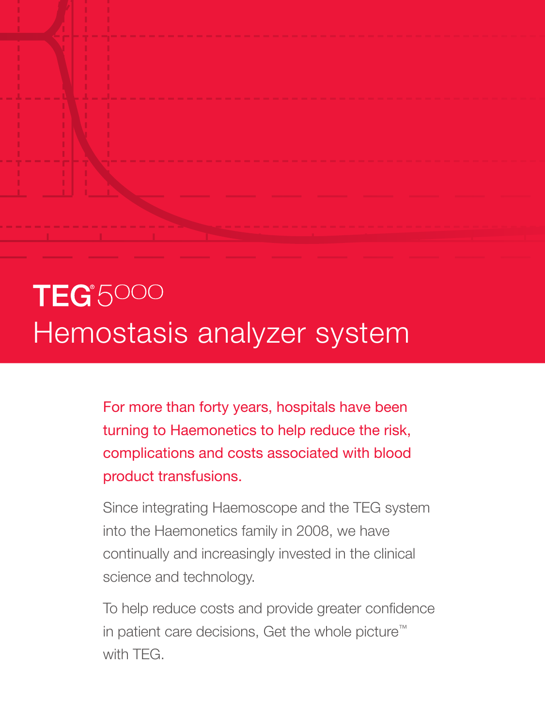## **TEG**<sup>\$5000</sup> Hemostasis analyzer system

For more than forty years, hospitals have been turning to Haemonetics to help reduce the risk, complications and costs associated with blood product transfusions.

Since integrating Haemoscope and the TEG system into the Haemonetics family in 2008, we have continually and increasingly invested in the clinical science and technology.

To help reduce costs and provide greater confidence in patient care decisions, Get the whole picture™ with TEG.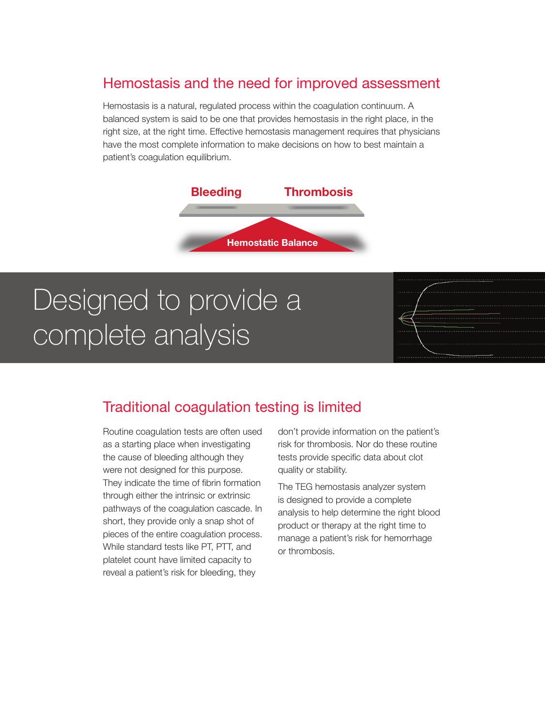### Hemostasis and the need for improved assessment

Hemostasis is a natural, regulated process within the coagulation continuum. A balanced system is said to be one that provides hemostasis in the right place, in the right size, at the right time. Effective hemostasis management requires that physicians have the most complete information to make decisions on how to best maintain a patient's coagulation equilibrium.



## Designed to provide a complete analysis

### Traditional coagulation testing is limited

Routine coagulation tests are often used as a starting place when investigating the cause of bleeding although they were not designed for this purpose. They indicate the time of fibrin formation through either the intrinsic or extrinsic pathways of the coagulation cascade. In short, they provide only a snap shot of pieces of the entire coagulation process. While standard tests like PT, PTT, and platelet count have limited capacity to reveal a patient's risk for bleeding, they

don't provide information on the patient's risk for thrombosis. Nor do these routine tests provide specific data about clot quality or stability.

The TEG hemostasis analyzer system is designed to provide a complete analysis to help determine the right blood product or therapy at the right time to manage a patient's risk for hemorrhage or thrombosis.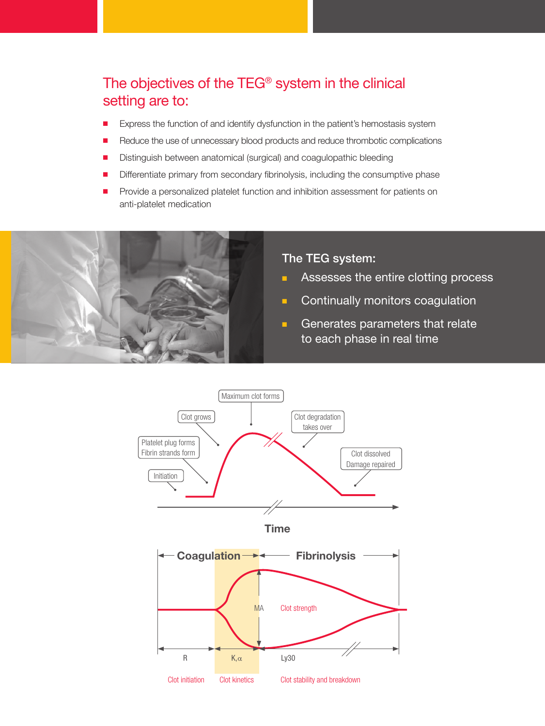## The objectives of the TEG® system in the clinical setting are to:

- Express the function of and identify dysfunction in the patient's hemostasis system
- Reduce the use of unnecessary blood products and reduce thrombotic complications
- Distinguish between anatomical (surgical) and coagulopathic bleeding
- Differentiate primary from secondary fibrinolysis, including the consumptive phase
- Provide a personalized platelet function and inhibition assessment for patients on anti-platelet medication



#### The TEG system:

- Assesses the entire clotting process
- Continually monitors coagulation
- Generates parameters that relate to each phase in real time



**Time**

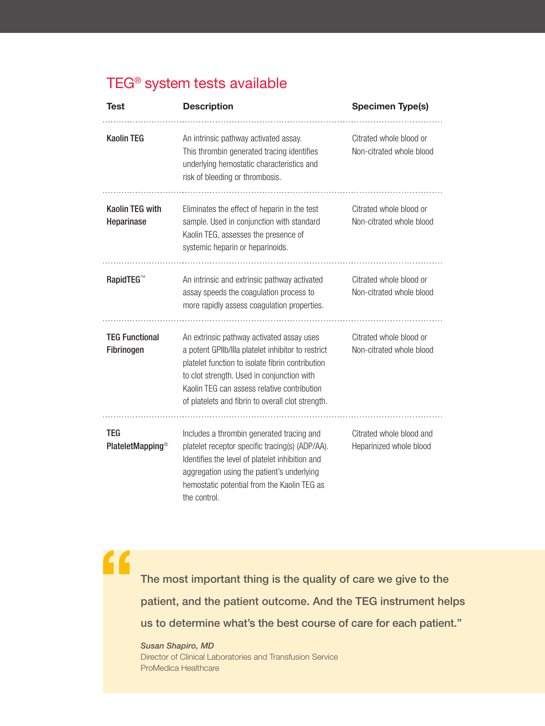## TEG® system tests available

| <b>Test</b>                                | <b>Description</b>                                                                                                                                                                                                                                                                                    | <b>Specimen Type(s)</b>                             |
|--------------------------------------------|-------------------------------------------------------------------------------------------------------------------------------------------------------------------------------------------------------------------------------------------------------------------------------------------------------|-----------------------------------------------------|
| <b>Kaolin TEG</b>                          | An intrinsic pathway activated assay.<br>This thrombin generated tracing identifies<br>underlying hemostatic characteristics and<br>risk of bleeding or thrombosis.                                                                                                                                   | Citrated whole blood or<br>Non-citrated whole blood |
| <b>Kaolin TEG with</b><br>Heparinase       | Eliminates the effect of heparin in the test<br>sample. Used in conjunction with standard<br>Kaolin TEG, assesses the presence of<br>systemic heparin or heparinoids.                                                                                                                                 | Citrated whole blood or<br>Non-citrated whole blood |
| <b>RapidTEG™</b>                           | An intrinsic and extrinsic pathway activated<br>assay speeds the coagulation process to<br>more rapidly assess coagulation properties.                                                                                                                                                                | Citrated whole blood or<br>Non-citrated whole blood |
| <b>TEG Functional</b><br>Fibrinogen        | An extrinsic pathway activated assay uses<br>a potent GPIIb/IIIa platelet inhibitor to restrict<br>platelet function to isolate fibrin contribution<br>to clot strength. Used in conjunction with<br>Kaolin TEG can assess relative contribution<br>of platelets and fibrin to overall clot strength. | Citrated whole blood or<br>Non-citrated whole blood |
| <b>TEG</b><br>PlateletMapping <sup>®</sup> | Includes a thrombin generated tracing and<br>platelet receptor specific tracing(s) (ADP/AA).<br>Identifies the level of platelet inhibition and<br>aggregation using the patient's underlying<br>hemostatic potential from the Kaolin TEG as<br>the control.                                          | Citrated whole blood and<br>Heparinized whole blood |

 $\overline{\mathbf{G}}$ The most important thing is the quality of care we give to the patient, and the patient outcome. And the TEG instrument helps us to determine what's the best course of care for each patient."

*Susan Shapiro, MD*  Director of Clinical Laboratories and Transfusion Service ProMedica Healthcare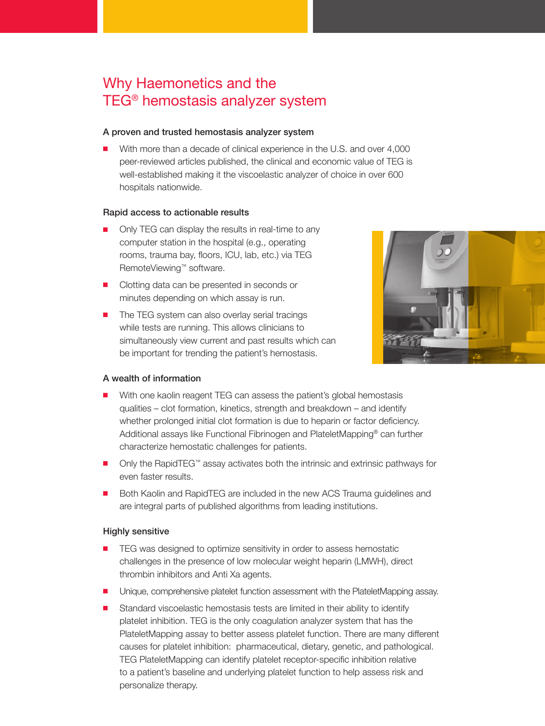### Why Haemonetics and the TEG® hemostasis analyzer system

#### A proven and trusted hemostasis analyzer system

With more than a decade of clinical experience in the U.S. and over 4,000 peer-reviewed articles published, the clinical and economic value of TEG is well-established making it the viscoelastic analyzer of choice in over 600 hospitals nationwide.

#### Rapid access to actionable results

- Only TEG can display the results in real-time to any computer station in the hospital (e.g., operating rooms, trauma bay, floors, ICU, lab, etc.) via TEG RemoteViewing™ software.
- Clotting data can be presented in seconds or minutes depending on which assay is run.
- The TEG system can also overlay serial tracings while tests are running. This allows clinicians to simultaneously view current and past results which can be important for trending the patient's hemostasis.



#### A wealth of information

- With one kaolin reagent TEG can assess the patient's global hemostasis qualities – clot formation, kinetics, strength and breakdown – and identify whether prolonged initial clot formation is due to heparin or factor deficiency. Additional assays like Functional Fibrinogen and PlateletMapping® can further characterize hemostatic challenges for patients.
- Only the RapidTEG™ assay activates both the intrinsic and extrinsic pathways for even faster results.
- Both Kaolin and RapidTEG are included in the new ACS Trauma guidelines and are integral parts of published algorithms from leading institutions.

#### Highly sensitive

- TEG was designed to optimize sensitivity in order to assess hemostatic challenges in the presence of low molecular weight heparin (LMWH), direct thrombin inhibitors and Anti Xa agents.
- Unique, comprehensive platelet function assessment with the PlateletMapping assay.
- Standard viscoelastic hemostasis tests are limited in their ability to identify platelet inhibition. TEG is the only coagulation analyzer system that has the PlateletMapping assay to better assess platelet function. There are many different causes for platelet inhibition: pharmaceutical, dietary, genetic, and pathological. TEG PlateletMapping can identify platelet receptor-specific inhibition relative to a patient's baseline and underlying platelet function to help assess risk and personalize therapy.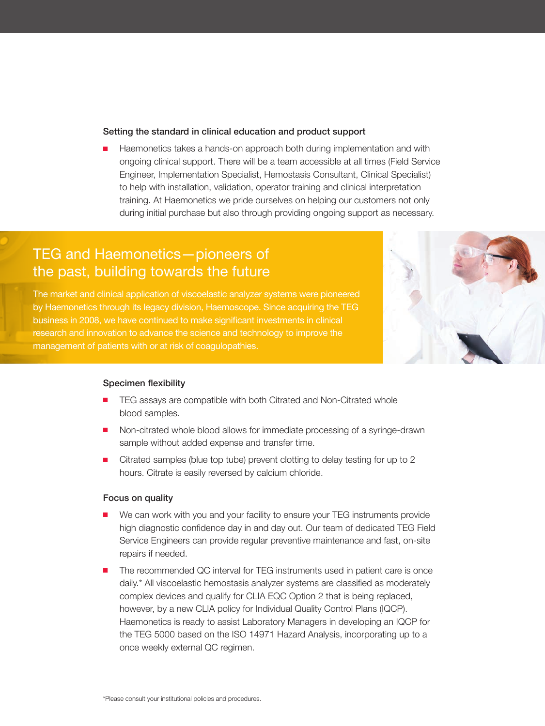#### Setting the standard in clinical education and product support

Haemonetics takes a hands-on approach both during implementation and with ongoing clinical support. There will be a team accessible at all times (Field Service Engineer, Implementation Specialist, Hemostasis Consultant, Clinical Specialist) to help with installation, validation, operator training and clinical interpretation training. At Haemonetics we pride ourselves on helping our customers not only during initial purchase but also through providing ongoing support as necessary.

### TEG and Haemonetics—pioneers of the past, building towards the future

The market and clinical application of viscoelastic analyzer systems were pioneered by Haemonetics through its legacy division, Haemoscope. Since acquiring the TEG business in 2008, we have continued to make significant investments in clinical research and innovation to advance the science and technology to improve the management of patients with or at risk of coagulopathies.



#### Specimen flexibility

- TEG assays are compatible with both Citrated and Non-Citrated whole blood samples.
- Non-citrated whole blood allows for immediate processing of a syringe-drawn sample without added expense and transfer time.
- Citrated samples (blue top tube) prevent clotting to delay testing for up to 2 hours. Citrate is easily reversed by calcium chloride.

#### Focus on quality

- We can work with you and your facility to ensure your TEG instruments provide high diagnostic confidence day in and day out. Our team of dedicated TEG Field Service Engineers can provide regular preventive maintenance and fast, on-site repairs if needed.
- The recommended QC interval for TEG instruments used in patient care is once daily.\* All viscoelastic hemostasis analyzer systems are classified as moderately complex devices and qualify for CLIA EQC Option 2 that is being replaced, however, by a new CLIA policy for Individual Quality Control Plans (IQCP). Haemonetics is ready to assist Laboratory Managers in developing an IQCP for the TEG 5000 based on the ISO 14971 Hazard Analysis, incorporating up to a once weekly external QC regimen.